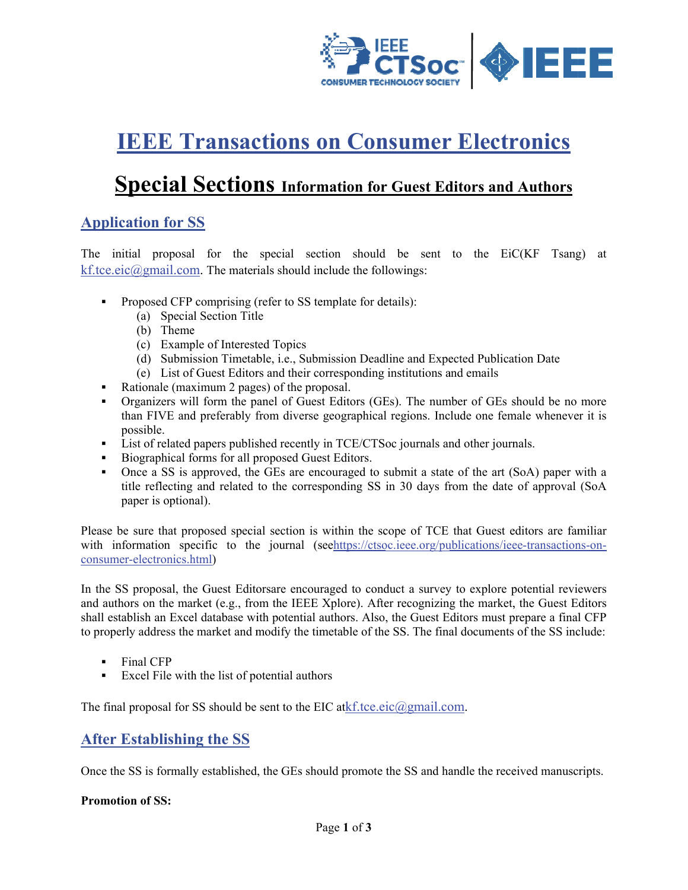

# **IEEE Transactions on Consumer Electronics**

# **Special Sections Information for Guest Editors and Authors**

## **Application for SS**

The initial proposal for the special section should be sent to the EiC(KF Tsang) at kf.tce.eic@gmail.com. The materials should include the followings:

- Proposed CFP comprising (refer to SS template for details):
	- (a) Special Section Title
	- (b) Theme
	- (c) Example of Interested Topics
	- (d) Submission Timetable, i.e., Submission Deadline and Expected Publication Date
	- (e) List of Guest Editors and their corresponding institutions and emails
- Rationale (maximum 2 pages) of the proposal.
- Organizers will form the panel of Guest Editors (GEs). The number of GEs should be no more than FIVE and preferably from diverse geographical regions. Include one female whenever it is possible.
- List of related papers published recently in TCE/CTSoc journals and other journals.
- Biographical forms for all proposed Guest Editors.
- Once a SS is approved, the GEs are encouraged to submit a state of the art (SoA) paper with a title reflecting and related to the corresponding SS in 30 days from the date of approval (SoA) paper is optional).

Please be sure that proposed special section is within the scope of TCE that Guest editors are familiar with information specific to the journal (seehttps://ctsoc.ieee.org/publications/ieee-transactions-onconsumer-electronics.html)

In the SS proposal, the Guest Editors are encouraged to conduct a survey to explore potential reviewers and authors on the market (e.g., from the IEEE Xplore). After recognizing the market, the Guest Editors shall establish an Excel database with potential authors. Also, the Guest Editors must prepare a final CFP to properly address the market and modify the timetable of the SS. The final documents of the SS include:

- $\mathbf{r}$ Final CFP
- Excel File with the list of potential authors

The final proposal for SS should be sent to the EIC at  $kf.tce.eic(\partial gmail.com)$ .

#### **After Establishing the SS**

Once the SS is formally established, the GEs should promote the SS and handle the received manuscripts.

#### **Promotion of SS:**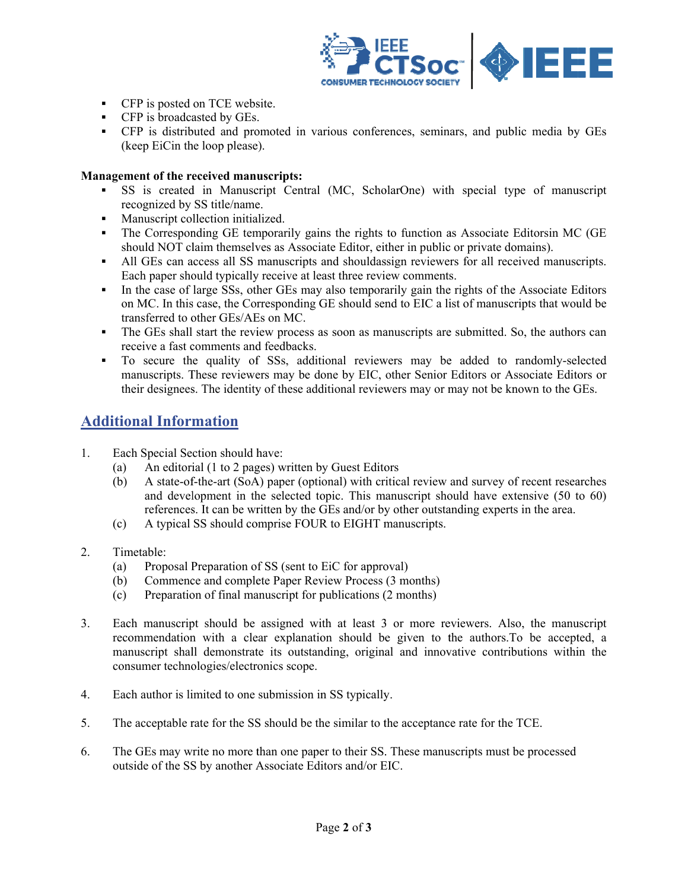

- CFP is posted on TCE website.
- CFP is broadcasted by GEs.
- CFP is distributed and promoted in various conferences, seminars, and public media by GEs (keep EiCin the loop please).

#### **Management of the received manuscripts:**

- SS is created in Manuscript Central (MC, ScholarOne) with special type of manuscript recognized by SS title/name.
- Manuscript collection initialized.
- The Corresponding GE temporarily gains the rights to function as Associate Editorsin MC (GE should NOT claim themselves as Associate Editor, either in public or private domains).
- All GEs can access all SS manuscripts and should assign reviewers for all received manuscripts.  $\blacksquare$ Each paper should typically receive at least three review comments.
- In the case of large SSs, other GEs may also temporarily gain the rights of the Associate Editors on MC. In this case, the Corresponding GE should send to EIC a list of manuscripts that would be transferred to other GEs/AEs on MC.
- The GEs shall start the review process as soon as manuscripts are submitted. So, the authors can receive a fast comments and feedbacks.
- To secure the quality of SSs, additional reviewers may be added to randomly-selected manuscripts. These reviewers may be done by EIC, other Senior Editors or Associate Editors or their designees. The identity of these additional reviewers may or may not be known to the GEs.

### **Additional Information**

- $1.$ Each Special Section should have:
	- $(a)$ An editorial (1 to 2 pages) written by Guest Editors
	- A state-of-the-art (SoA) paper (optional) with critical review and survey of recent researches  $(b)$ and development in the selected topic. This manuscript should have extensive (50 to 60) references. It can be written by the GEs and/or by other outstanding experts in the area.
	- A typical SS should comprise FOUR to EIGHT manuscripts.  $(c)$
- $2.$ Timetable:
	- Proposal Preparation of SS (sent to EiC for approval)  $(a)$
	- Commence and complete Paper Review Process (3 months)  $(b)$
	- Preparation of final manuscript for publications (2 months)  $(c)$
- $3<sub>1</sub>$ Each manuscript should be assigned with at least 3 or more reviewers. Also, the manuscript recommendation with a clear explanation should be given to the authors. To be accepted, a manuscript shall demonstrate its outstanding, original and innovative contributions within the consumer technologies/electronics scope.
- Each author is limited to one submission in SS typically.  $\overline{4}$
- 5. The acceptable rate for the SS should be the similar to the acceptance rate for the TCE.
- 6. The GEs may write no more than one paper to their SS. These manuscripts must be processed outside of the SS by another Associate Editors and/or EIC.